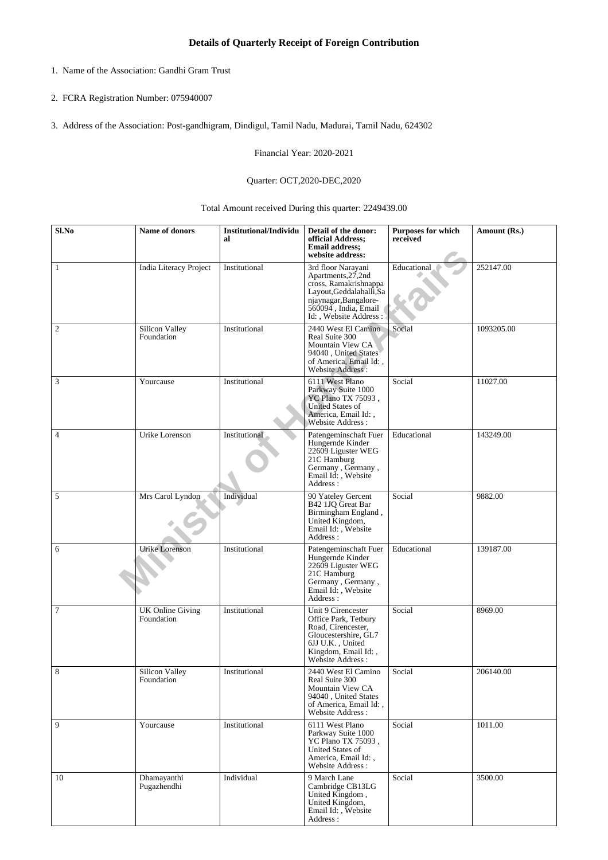- 1. Name of the Association: Gandhi Gram Trust
- 2. FCRA Registration Number: 075940007
- 3. Address of the Association: Post-gandhigram, Dindigul, Tamil Nadu, Madurai, Tamil Nadu, 624302

Financial Year: 2020-2021

## Quarter: OCT,2020-DEC,2020

Total Amount received During this quarter: 2249439.00

| Sl.No          | Name of donors                        | <b>Institutional/Individu</b><br>al | Detail of the donor:<br>official Address;<br><b>Email address;</b><br>website address:                                                                                   | Purposes for which<br>received | Amount (Rs.) |
|----------------|---------------------------------------|-------------------------------------|--------------------------------------------------------------------------------------------------------------------------------------------------------------------------|--------------------------------|--------------|
| 1              | <b>India Literacy Project</b>         | Institutional                       | 3rd floor Narayani<br>Apartments, 27, 2nd<br>cross, Ramakrishnappa<br>Layout, Geddalahalli, Sa<br>njaynagar, Bangalore-<br>560094, India, Email<br>Id:, Website Address: | Educational                    | 252147.00    |
| $\overline{c}$ | Silicon Valley<br>Foundation          | Institutional                       | 2440 West El Camino<br>Real Suite 300<br>Mountain View CA<br>94040, United States<br>of America, Email Id:,<br>Website Address:                                          | Social                         | 1093205.00   |
| 3              | Yourcause                             | Institutional                       | 6111 West Plano<br>Parkway Suite 1000<br>YC Plano TX 75093,<br><b>United States of</b><br>America, Email Id:,<br>Website Address:                                        | Social                         | 11027.00     |
| $\overline{4}$ | Urike Lorenson                        | Institutional                       | Patengeminschaft Fuer<br>Hungernde Kinder<br>22609 Liguster WEG<br>21C Hamburg<br>Germany, Germany,<br>Email Id:, Website<br>Address:                                    | Educational                    | 143249.00    |
| 5              | Mrs Carol Lyndon                      | Individual                          | 90 Yateley Gercent<br>B42 1JQ Great Bar<br>Birmingham England,<br>United Kingdom,<br>Email Id:, Website<br>Address:                                                      | Social                         | 9882.00      |
| 6              | Urike Lorenson                        | Institutional                       | Patengeminschaft Fuer<br>Hungernde Kinder<br>22609 Liguster WEG<br>21C Hamburg<br>Germany, Germany,<br>Email Id: , Website<br>Address:                                   | Educational                    | 139187.00    |
| $\tau$         | <b>UK Online Giving</b><br>Foundation | Institutional                       | Unit 9 Cirencester<br>Office Park, Tetbury<br>Road, Cirencester,<br>Gloucestershire, GL7<br>6JJ U.K., United<br>Kingdom, Email Id:,<br>Website Address:                  | Social                         | 8969.00      |
| 8              | Silicon Valley<br>Foundation          | Institutional                       | 2440 West El Camino<br>Real Suite 300<br>Mountain View CA<br>94040, United States<br>of America, Email Id:,<br>Website Address:                                          | Social                         | 206140.00    |
| 9              | Yourcause                             | Institutional                       | 6111 West Plano<br>Parkway Suite 1000<br>YC Plano TX 75093,<br>United States of<br>America, Email Id:,<br>Website Address:                                               | Social                         | 1011.00      |
| 10             | Dhamayanthi<br>Pugazhendhi            | Individual                          | 9 March Lane<br>Cambridge CB13LG<br>United Kingdom,<br>United Kingdom,<br>Email Id:, Website<br>Address :                                                                | Social                         | 3500.00      |